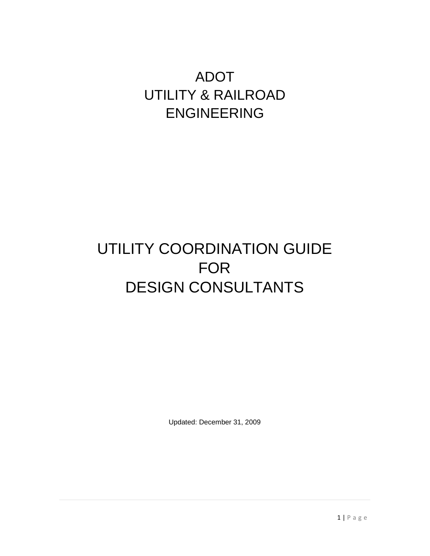# ADOT UTILITY & RAILROAD ENGINEERING

# UTILITY COORDINATION GUIDE FOR DESIGN CONSULTANTS

Updated: December 31, 2009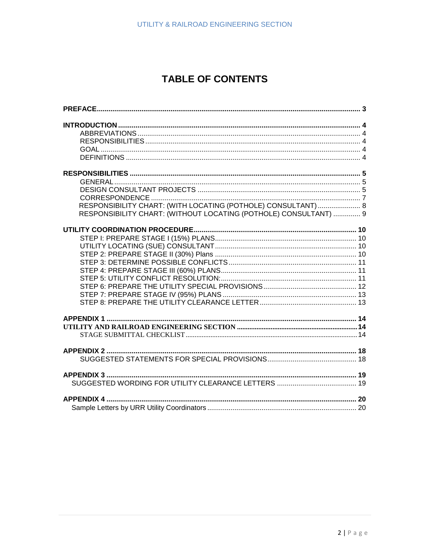# **TABLE OF CONTENTS**

| RESPONSIBILITY CHART: (WITH LOCATING (POTHOLE) CONSULTANT)  8<br>RESPONSIBILITY CHART: (WITHOUT LOCATING (POTHOLE) CONSULTANT)  9 |
|-----------------------------------------------------------------------------------------------------------------------------------|
|                                                                                                                                   |
|                                                                                                                                   |
|                                                                                                                                   |
|                                                                                                                                   |
|                                                                                                                                   |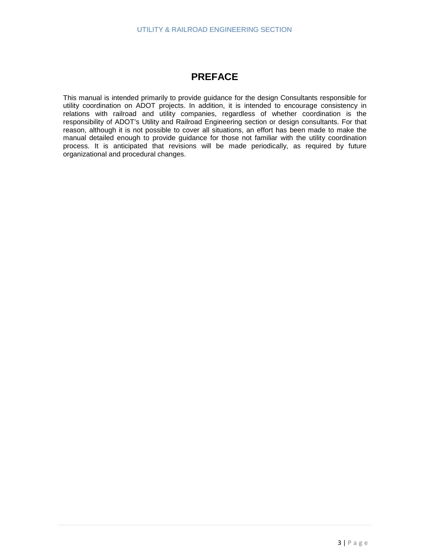# **PREFACE**

<span id="page-2-0"></span>This manual is intended primarily to provide guidance for the design Consultants responsible for utility coordination on ADOT projects. In addition, it is intended to encourage consistency in relations with railroad and utility companies, regardless of whether coordination is the responsibility of ADOT's Utility and Railroad Engineering section or design consultants. For that reason, although it is not possible to cover all situations, an effort has been made to make the manual detailed enough to provide guidance for those not familiar with the utility coordination process. It is anticipated that revisions will be made periodically, as required by future organizational and procedural changes.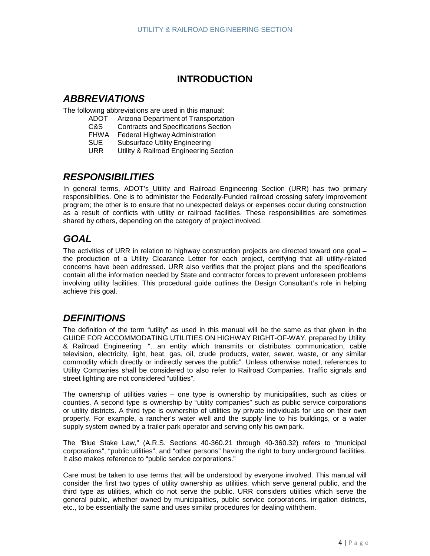# **INTRODUCTION**

## <span id="page-3-1"></span><span id="page-3-0"></span>*ABBREVIATIONS*

The following abbreviations are used in this manual:

- ADOT Arizona Department of Transportation
- C&S Contracts and Specifications Section<br>FHWA Federal Highway Administration
- Federal Highway Administration
- SUE Subsurface Utility Engineering<br>URR Utility & Railroad Engineering S
- Utility & Railroad Engineering Section

# <span id="page-3-2"></span>*RESPONSIBILITIES*

In general terms, ADOT's Utility and Railroad Engineering Section (URR) has two primary responsibilities. One is to administer the Federally-Funded railroad crossing safety improvement program; the other is to ensure that no unexpected delays or expenses occur during construction as a result of conflicts with utility or railroad facilities. These responsibilities are sometimes shared by others, depending on the category of projectinvolved.

# <span id="page-3-3"></span>*GOAL*

The activities of URR in relation to highway construction projects are directed toward one goal – the production of a Utility Clearance Letter for each project, certifying that all utility-related concerns have been addressed. URR also verifies that the project plans and the specifications contain all the information needed by State and contractor forces to prevent unforeseen problems involving utility facilities. This procedural guide outlines the Design Consultant's role in helping achieve this goal.

# <span id="page-3-4"></span>*DEFINITIONS*

The definition of the term "utility" as used in this manual will be the same as that given in the GUIDE FOR ACCOMMODATING UTILITIES ON HIGHWAY RIGHT-OF-WAY, prepared by Utility & Railroad Engineering: "…an entity which transmits or distributes communication, cable television, electricity, light, heat, gas, oil, crude products, water, sewer, waste, or any similar commodity which directly or indirectly serves the public". Unless otherwise noted, references to Utility Companies shall be considered to also refer to Railroad Companies. Traffic signals and street lighting are not considered "utilities".

The ownership of utilities varies – one type is ownership by municipalities, such as cities or counties. A second type is ownership by "utility companies" such as public service corporations or utility districts. A third type is ownership of utilities by private individuals for use on their own property. For example, a rancher's water well and the supply line to his buildings, or a water supply system owned by a trailer park operator and serving only his ownpark.

The "Blue Stake Law," (A.R.S. Sections 40-360.21 through 40-360.32) refers to "municipal corporations", "public utilities", and "other persons" having the right to bury underground facilities. It also makes reference to "public service corporations."

Care must be taken to use terms that will be understood by everyone involved. This manual will consider the first two types of utility ownership as utilities, which serve general public, and the third type as utilities, which do not serve the public. URR considers utilities which serve the general public, whether owned by municipalities, public service corporations, irrigation districts, etc., to be essentially the same and uses similar procedures for dealing withthem.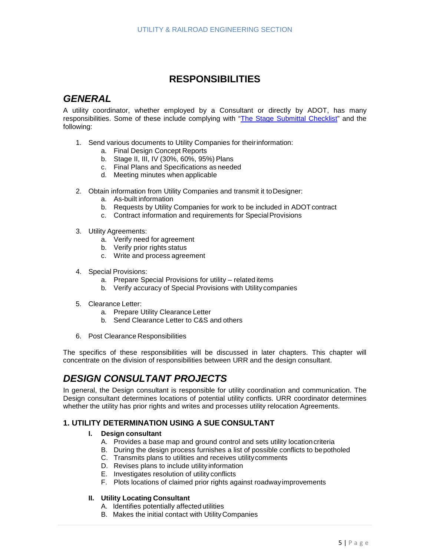# **RESPONSIBILITIES**

## <span id="page-4-1"></span><span id="page-4-0"></span>*GENERAL*

A utility coordinator, whether employed by a Consultant or directly by ADOT, has many responsibilities. Some of these include complying with ["The Stage Submittal Checklist"](http://www.azdot.gov/Highways/utilities/pdf/StageSubmittalChecklist.pdf) and the following:

- 1. Send various documents to Utility Companies for theirinformation:
	- a. Final Design Concept Reports
	- b. Stage II, III, IV (30%, 60%, 95%) Plans
	- c. Final Plans and Specifications as needed
	- d. Meeting minutes when applicable
- 2. Obtain information from Utility Companies and transmit it toDesigner:
	- a. As-built information
	- b. Requests by Utility Companies for work to be included in ADOTcontract
	- c. Contract information and requirements for Special Provisions
- 3. Utility Agreements:
	- a. Verify need for agreement
	- b. Verify prior rights status
	- c. Write and process agreement
- 4. Special Provisions:
	- a. Prepare Special Provisions for utility related items
	- b. Verify accuracy of Special Provisions with Utility companies
- 5. Clearance Letter:
	- a. Prepare Utility Clearance Letter
	- b. Send Clearance Letter to C&S and others
- 6. Post Clearance Responsibilities

The specifics of these responsibilities will be discussed in later chapters. This chapter will concentrate on the division of responsibilities between URR and the design consultant.

# <span id="page-4-2"></span>*DESIGN CONSULTANT PROJECTS*

In general, the Design consultant is responsible for utility coordination and communication. The Design consultant determines locations of potential utility conflicts. URR coordinator determines whether the utility has prior rights and writes and processes utility relocation Agreements.

## **1. UTILITY DETERMINATION USING A SUE CONSULTANT**

#### **I. Design consultant**

- A. Provides a base map and ground control and sets utility location criteria
- B. During the design process furnishes a list of possible conflicts to bepotholed
- C. Transmits plans to utilities and receives utilitycomments
- D. Revises plans to include utility information
- E. Investigates resolution of utility conflicts
- F. Plots locations of claimed prior rights against roadwayimprovements

## **II. Utility Locating Consultant**

- A. Identifies potentially affected utilities
- B. Makes the initial contact with UtilityCompanies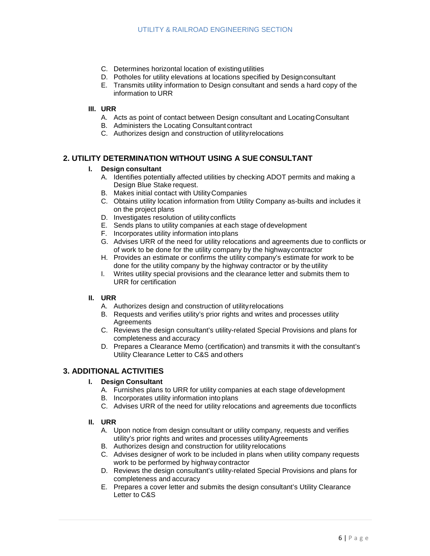- C. Determines horizontal location of existing utilities
- D. Potholes for utility elevations at locations specified by Designconsultant
- E. Transmits utility information to Design consultant and sends a hard copy of the information to URR

#### **III. URR**

- A. Acts as point of contact between Design consultant and LocatingConsultant
- B. Administers the Locating Consultant contract
- C. Authorizes design and construction of utilityrelocations

## **2. UTILITY DETERMINATION WITHOUT USING A SUE CONSULTANT**

#### **I. Design consultant**

- A. Identifies potentially affected utilities by checking ADOT permits and making a Design Blue Stake request.
- B. Makes initial contact with UtilityCompanies
- C. Obtains utility location information from Utility Company as-builts and includes it on the project plans
- D. Investigates resolution of utility conflicts
- E. Sends plans to utility companies at each stage of development
- F. Incorporates utility information into plans
- G. Advises URR of the need for utility relocations and agreements due to conflicts or of work to be done for the utility company by the highwaycontractor
- H. Provides an estimate or confirms the utility company's estimate for work to be done for the utility company by the highway contractor or by the utility
- I. Writes utility special provisions and the clearance letter and submits them to URR for certification

### **II. URR**

- A. Authorizes design and construction of utilityrelocations
- B. Requests and verifies utility's prior rights and writes and processes utility **Agreements**
- C. Reviews the design consultant's utility-related Special Provisions and plans for completeness and accuracy
- D. Prepares a Clearance Memo (certification) and transmits it with the consultant's Utility Clearance Letter to C&S and others

## **3. ADDITIONAL ACTIVITIES**

#### **I. Design Consultant**

- A. Furnishes plans to URR for utility companies at each stage ofdevelopment
- B. Incorporates utility information into plans
- C. Advises URR of the need for utility relocations and agreements due toconflicts

#### **II. URR**

- A. Upon notice from design consultant or utility company, requests and verifies utility's prior rights and writes and processes utilityAgreements
- B. Authorizes design and construction for utility relocations
- C. Advises designer of work to be included in plans when utility company requests work to be performed by highway contractor
- D. Reviews the design consultant's utility-related Special Provisions and plans for completeness and accuracy
- E. Prepares a cover letter and submits the design consultant's Utility Clearance Letter to C&S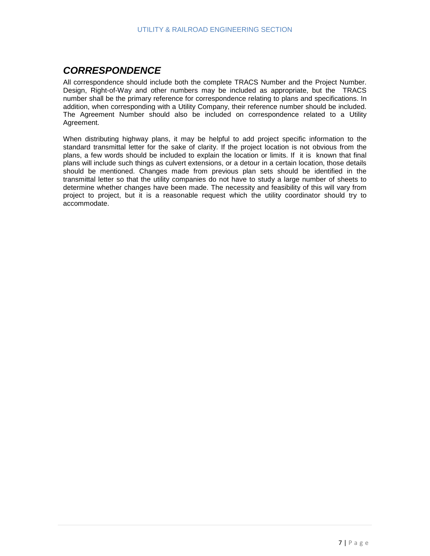# <span id="page-6-0"></span>*CORRESPONDENCE*

All correspondence should include both the complete TRACS Number and the Project Number. Design, Right-of-Way and other numbers may be included as appropriate, but the TRACS number shall be the primary reference for correspondence relating to plans and specifications. In addition, when corresponding with a Utility Company, their reference number should be included. The Agreement Number should also be included on correspondence related to a Utility Agreement.

When distributing highway plans, it may be helpful to add project specific information to the standard transmittal letter for the sake of clarity. If the project location is not obvious from the plans, a few words should be included to explain the location or limits. If it is known that final plans will include such things as culvert extensions, or a detour in a certain location, those details should be mentioned. Changes made from previous plan sets should be identified in the transmittal letter so that the utility companies do not have to study a large number of sheets to determine whether changes have been made. The necessity and feasibility of this will vary from project to project, but it is a reasonable request which the utility coordinator should try to accommodate.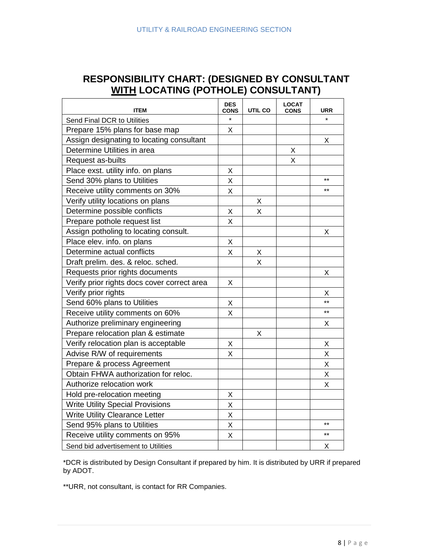# <span id="page-7-0"></span>**RESPONSIBILITY CHART: (DESIGNED BY CONSULTANT WITH LOCATING (POTHOLE) CONSULTANT)**

| <b>ITEM</b>                                 | <b>DES</b><br><b>CONS</b> | UTIL CO | <b>LOCAT</b><br><b>CONS</b> | <b>URR</b>   |
|---------------------------------------------|---------------------------|---------|-----------------------------|--------------|
| Send Final DCR to Utilities                 | $\star$                   |         |                             | ÷            |
| Prepare 15% plans for base map              | X                         |         |                             |              |
| Assign designating to locating consultant   |                           |         |                             | Х            |
| Determine Utilities in area                 |                           |         | X                           |              |
| Request as-builts                           |                           |         | X                           |              |
| Place exst. utility info. on plans          | Χ                         |         |                             |              |
| Send 30% plans to Utilities                 | X                         |         |                             | $**$         |
| Receive utility comments on 30%             | Χ                         |         |                             | $+ +$        |
| Verify utility locations on plans           |                           | X       |                             |              |
| Determine possible conflicts                | Χ                         | Χ       |                             |              |
| Prepare pothole request list                | X                         |         |                             |              |
| Assign potholing to locating consult.       |                           |         |                             | X            |
| Place elev. info. on plans                  | X                         |         |                             |              |
| Determine actual conflicts                  | X                         | х       |                             |              |
| Draft prelim. des. & reloc. sched.          |                           | Χ       |                             |              |
| Requests prior rights documents             |                           |         |                             | X            |
| Verify prior rights docs cover correct area | X                         |         |                             |              |
| Verify prior rights                         |                           |         |                             | X            |
| Send 60% plans to Utilities                 | Χ                         |         |                             | $\star\star$ |
| Receive utility comments on 60%             | X                         |         |                             | $\star\star$ |
| Authorize preliminary engineering           |                           |         |                             | Х            |
| Prepare relocation plan & estimate          |                           | Х       |                             |              |
| Verify relocation plan is acceptable        | Χ                         |         |                             | Χ            |
| Advise R/W of requirements                  | X                         |         |                             | X            |
| Prepare & process Agreement                 |                           |         |                             | X            |
| Obtain FHWA authorization for reloc.        |                           |         |                             | Χ            |
| Authorize relocation work                   |                           |         |                             | Χ            |
| Hold pre-relocation meeting                 | Χ                         |         |                             |              |
| <b>Write Utility Special Provisions</b>     | X                         |         |                             |              |
| <b>Write Utility Clearance Letter</b>       | X                         |         |                             |              |
| Send 95% plans to Utilities                 | X                         |         |                             | $\star\star$ |
| Receive utility comments on 95%             | X                         |         |                             | $+ +$        |
| Send bid advertisement to Utilities         |                           |         |                             | Χ            |

\*DCR is distributed by Design Consultant if prepared by him. It is distributed by URR if prepared by ADOT.

\*\*URR, not consultant, is contact for RR Companies.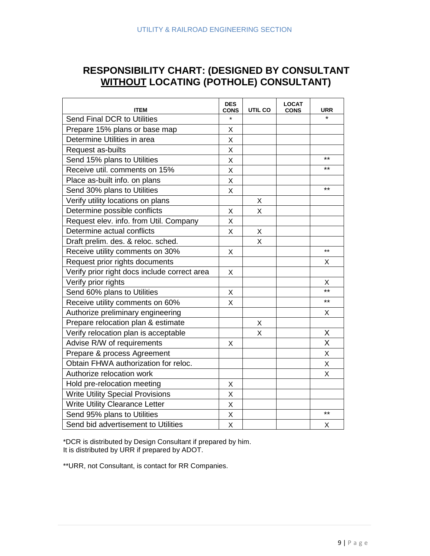# <span id="page-8-0"></span>**RESPONSIBILITY CHART: (DESIGNED BY CONSULTANT WITHOUT LOCATING (POTHOLE) CONSULTANT)**

| <b>ITEM</b>                                  | <b>DES</b><br><b>CONS</b> | UTIL CO | <b>LOCAT</b><br><b>CONS</b> | URR     |
|----------------------------------------------|---------------------------|---------|-----------------------------|---------|
| Send Final DCR to Utilities                  | $\star$                   |         |                             | $\star$ |
| Prepare 15% plans or base map                | X                         |         |                             |         |
| Determine Utilities in area                  | X                         |         |                             |         |
| Request as-builts                            | Χ                         |         |                             |         |
| Send 15% plans to Utilities                  | X                         |         |                             | $***$   |
| Receive util. comments on 15%                | X                         |         |                             | $***$   |
| Place as-built info. on plans                | X                         |         |                             |         |
| Send 30% plans to Utilities                  | X                         |         |                             | $***$   |
| Verify utility locations on plans            |                           | X       |                             |         |
| Determine possible conflicts                 | Χ                         | X       |                             |         |
| Request elev. info. from Util. Company       | Χ                         |         |                             |         |
| Determine actual conflicts                   | X                         | X       |                             |         |
| Draft prelim. des. & reloc. sched.           |                           | X       |                             |         |
| Receive utility comments on 30%              | X                         |         |                             | $***$   |
| Request prior rights documents               |                           |         |                             | X       |
| Verify prior right docs include correct area | X                         |         |                             |         |
| Verify prior rights                          |                           |         |                             | X       |
| Send 60% plans to Utilities                  | Χ                         |         |                             | $***$   |
| Receive utility comments on 60%              | X                         |         |                             | $***$   |
| Authorize preliminary engineering            |                           |         |                             | Χ       |
| Prepare relocation plan & estimate           |                           | X       |                             |         |
| Verify relocation plan is acceptable         |                           | X       |                             | X       |
| Advise R/W of requirements                   | X                         |         |                             | X       |
| Prepare & process Agreement                  |                           |         |                             | X       |
| Obtain FHWA authorization for reloc.         |                           |         |                             | Χ       |
| Authorize relocation work                    |                           |         |                             | X       |
| Hold pre-relocation meeting                  | X                         |         |                             |         |
| <b>Write Utility Special Provisions</b>      | X                         |         |                             |         |
| <b>Write Utility Clearance Letter</b>        | X                         |         |                             |         |
| Send 95% plans to Utilities                  | X                         |         |                             | $***$   |
| Send bid advertisement to Utilities          | X                         |         |                             | X       |

\*DCR is distributed by Design Consultant if prepared by him. It is distributed by URR if prepared by ADOT.

\*\*URR, not Consultant, is contact for RR Companies.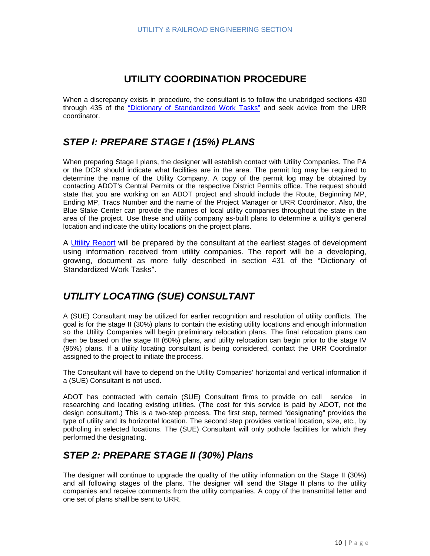# **UTILITY COORDINATION PROCEDURE**

<span id="page-9-0"></span>When a discrepancy exists in procedure, the consultant is to follow the unabridged sections 430 through 435 of the ["Dictionary of Standardized Work Tasks"](http://www.azdot.gov/Highways/SWProjMgmt/PDF/DictionaryStandardTasks.pdf) and seek advice from the URR coordinator.

# <span id="page-9-1"></span>*STEP I: PREPARE STAGE I (15%) PLANS*

When preparing Stage I plans, the designer will establish contact with Utility Companies. The PA or the DCR should indicate what facilities are in the area. The permit log may be required to determine the name of the Utility Company. A copy of the permit log may be obtained by contacting ADOT's Central Permits or the respective District Permits office. The request should state that you are working on an ADOT project and should include the Route, Beginning MP, Ending MP, Tracs Number and the name of the Project Manager or URR Coordinator. Also, the Blue Stake Center can provide the names of local utility companies throughout the state in the area of the project. Use these and utility company as-built plans to determine a utility's general location and indicate the utility locations on the project plans.

A [Utility Report](https://www.azdot.gov/business/engineering-and-construction/utility-and-railroad-engineering) will be prepared by the consultant at the earliest stages of development using information received from utility companies. The report will be a developing, growing, document as more fully described in section 431 of the "Dictionary of Standardized Work Tasks".

# <span id="page-9-2"></span>*UTILITY LOCATING (SUE) CONSULTANT*

A (SUE) Consultant may be utilized for earlier recognition and resolution of utility conflicts. The goal is for the stage II (30%) plans to contain the existing utility locations and enough information so the Utility Companies will begin preliminary relocation plans. The final relocation plans can then be based on the stage III (60%) plans, and utility relocation can begin prior to the stage IV (95%) plans. If a utility locating consultant is being considered, contact the URR Coordinator assigned to the project to initiate the process.

The Consultant will have to depend on the Utility Companies' horizontal and vertical information if a (SUE) Consultant is not used.

ADOT has contracted with certain (SUE) Consultant firms to provide on call service in researching and locating existing utilities. (The cost for this service is paid by ADOT, not the design consultant.) This is a two-step process. The first step, termed "designating" provides the type of utility and its horizontal location. The second step provides vertical location, size, etc., by potholing in selected locations. The (SUE) Consultant will only pothole facilities for which they performed the designating.

# <span id="page-9-3"></span>*STEP 2: PREPARE STAGE II (30%) Plans*

The designer will continue to upgrade the quality of the utility information on the Stage II (30%) and all following stages of the plans. The designer will send the Stage II plans to the utility companies and receive comments from the utility companies. A copy of the transmittal letter and one set of plans shall be sent to URR.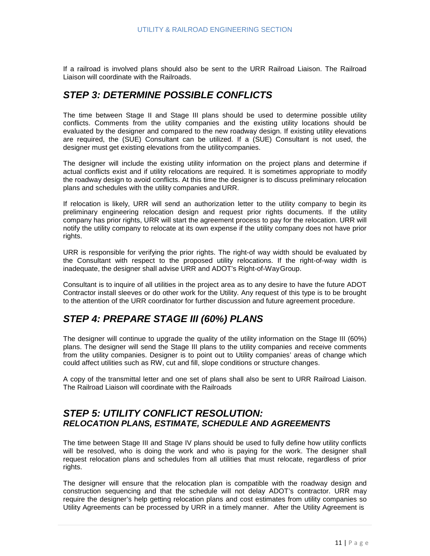<span id="page-10-0"></span>If a railroad is involved plans should also be sent to the URR Railroad Liaison. The Railroad Liaison will coordinate with the Railroads.

# *STEP 3: DETERMINE POSSIBLE CONFLICTS*

The time between Stage II and Stage III plans should be used to determine possible utility conflicts. Comments from the utility companies and the existing utility locations should be evaluated by the designer and compared to the new roadway design. If existing utility elevations are required, the (SUE) Consultant can be utilized. If a (SUE) Consultant is not used, the designer must get existing elevations from the utilitycompanies.

The designer will include the existing utility information on the project plans and determine if actual conflicts exist and if utility relocations are required. It is sometimes appropriate to modify the roadway design to avoid conflicts. At this time the designer is to discuss preliminary relocation plans and schedules with the utility companies and URR.

If relocation is likely, URR will send an authorization letter to the utility company to begin its preliminary engineering relocation design and request prior rights documents. If the utility company has prior rights, URR will start the agreement process to pay for the relocation. URR will notify the utility company to relocate at its own expense if the utility company does not have prior rights.

URR is responsible for verifying the prior rights. The right-of way width should be evaluated by the Consultant with respect to the proposed utility relocations. If the right-of-way width is inadequate, the designer shall advise URR and ADOT's Right-of-WayGroup.

<span id="page-10-1"></span>Consultant is to inquire of all utilities in the project area as to any desire to have the future ADOT Contractor install sleeves or do other work for the Utility. Any request of this type is to be brought to the attention of the URR coordinator for further discussion and future agreement procedure.

# *STEP 4: PREPARE STAGE III (60%) PLANS*

The designer will continue to upgrade the quality of the utility information on the Stage III (60%) plans. The designer will send the Stage III plans to the utility companies and receive comments from the utility companies. Designer is to point out to Utility companies' areas of change which could affect utilities such as RW, cut and fill, slope conditions or structure changes.

A copy of the transmittal letter and one set of plans shall also be sent to URR Railroad Liaison. The Railroad Liaison will coordinate with the Railroads

## <span id="page-10-2"></span>*STEP 5: UTILITY CONFLICT RESOLUTION: RELOCATION PLANS, ESTIMATE, SCHEDULE AND AGREEMENTS*

The time between Stage III and Stage IV plans should be used to fully define how utility conflicts will be resolved, who is doing the work and who is paying for the work. The designer shall request relocation plans and schedules from all utilities that must relocate, regardless of prior rights.

The designer will ensure that the relocation plan is compatible with the roadway design and construction sequencing and that the schedule will not delay ADOT's contractor. URR may require the designer's help getting relocation plans and cost estimates from utility companies so Utility Agreements can be processed by URR in a timely manner. After the Utility Agreement is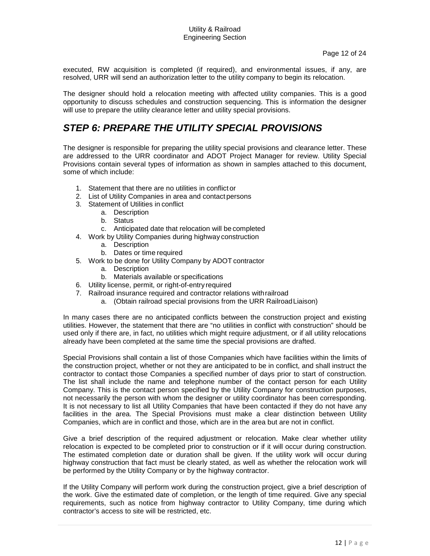executed, RW acquisition is completed (if required), and environmental issues, if any, are resolved, URR will send an authorization letter to the utility company to begin its relocation.

The designer should hold a relocation meeting with affected utility companies. This is a good opportunity to discuss schedules and construction sequencing. This is information the designer will use to prepare the utility clearance letter and utility special provisions.

# *STEP 6: PREPARE THE UTILITY SPECIAL PROVISIONS*

The designer is responsible for preparing the utility special provisions and clearance letter. These are addressed to the URR coordinator and ADOT Project Manager for review. Utility Special Provisions contain several types of information as shown in samples attached to this document, some of which include:

- <span id="page-11-0"></span>1. Statement that there are no utilities in conflict or
- 2. List of Utility Companies in area and contact persons
- 3. Statement of Utilities in conflict
	- a. Description
	- b. Status
	- c. Anticipated date that relocation will be completed
- 4. Work by Utility Companies during highway construction
	- a. Description
	- b. Dates or time required
- 5. Work to be done for Utility Company by ADOT contractor
	- a. Description
	- b. Materials available or specifications
- 6. Utility license, permit, or right-of-entry required
- 7. Railroad insurance required and contractor relations withrailroad
	- a. (Obtain railroad special provisions from the URR RailroadLiaison)

In many cases there are no anticipated conflicts between the construction project and existing utilities. However, the statement that there are "no utilities in conflict with construction" should be used only if there are, in fact, no utilities which might require adjustment, or if all utility relocations already have been completed at the same time the special provisions are drafted.

Special Provisions shall contain a list of those Companies which have facilities within the limits of the construction project, whether or not they are anticipated to be in conflict, and shall instruct the contractor to contact those Companies a specified number of days prior to start of construction. The list shall include the name and telephone number of the contact person for each Utility Company. This is the contact person specified by the Utility Company for construction purposes, not necessarily the person with whom the designer or utility coordinator has been corresponding. It is not necessary to list all Utility Companies that have been contacted if they do not have any facilities in the area. The Special Provisions must make a clear distinction between Utility Companies, which are in conflict and those, which are in the area but are not in conflict.

Give a brief description of the required adjustment or relocation. Make clear whether utility relocation is expected to be completed prior to construction or if it will occur during construction. The estimated completion date or duration shall be given. If the utility work will occur during highway construction that fact must be clearly stated, as well as whether the relocation work will be performed by the Utility Company or by the highway contractor.

If the Utility Company will perform work during the construction project, give a brief description of the work. Give the estimated date of completion, or the length of time required. Give any special requirements, such as notice from highway contractor to Utility Company, time during which contractor's access to site will be restricted, etc.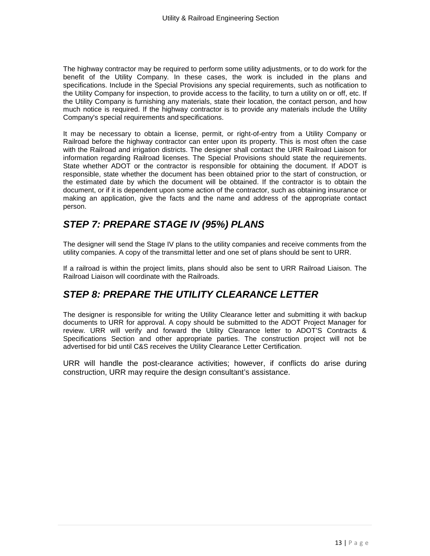The highway contractor may be required to perform some utility adjustments, or to do work for the benefit of the Utility Company. In these cases, the work is included in the plans and specifications. Include in the Special Provisions any special requirements, such as notification to the Utility Company for inspection, to provide access to the facility, to turn a utility on or off, etc. If the Utility Company is furnishing any materials, state their location, the contact person, and how much notice is required. If the highway contractor is to provide any materials include the Utility Company's special requirements and specifications.

It may be necessary to obtain a license, permit, or right-of-entry from a Utility Company or Railroad before the highway contractor can enter upon its property. This is most often the case with the Railroad and irrigation districts. The designer shall contact the URR Railroad Liaison for information regarding Railroad licenses. The Special Provisions should state the requirements. State whether ADOT or the contractor is responsible for obtaining the document. If ADOT is responsible, state whether the document has been obtained prior to the start of construction, or the estimated date by which the document will be obtained. If the contractor is to obtain the document, or if it is dependent upon some action of the contractor, such as obtaining insurance or making an application, give the facts and the name and address of the appropriate contact person.

# <span id="page-12-0"></span>*STEP 7: PREPARE STAGE IV (95%) PLANS*

The designer will send the Stage IV plans to the utility companies and receive comments from the utility companies. A copy of the transmittal letter and one set of plans should be sent to URR.

If a railroad is within the project limits, plans should also be sent to URR Railroad Liaison. The Railroad Liaison will coordinate with the Railroads.

# <span id="page-12-1"></span>*STEP 8: PREPARE THE UTILITY CLEARANCE LETTER*

The designer is responsible for writing the Utility Clearance letter and submitting it with backup documents to URR for approval. A copy should be submitted to the ADOT Project Manager for review. URR will verify and forward the Utility Clearance letter to ADOT'S Contracts & Specifications Section and other appropriate parties. The construction project will not be advertised for bid until C&S receives the Utility Clearance Letter Certification.

URR will handle the post-clearance activities; however, if conflicts do arise during construction, URR may require the design consultant's assistance.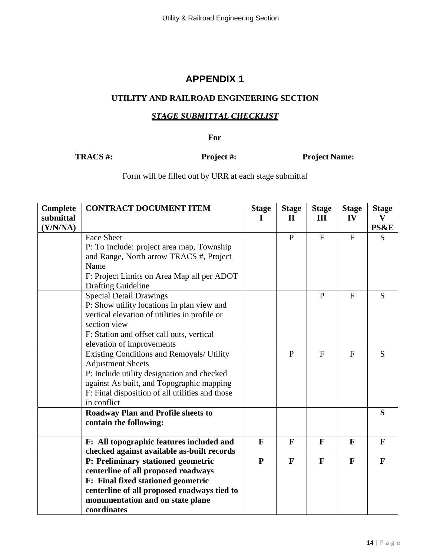## <span id="page-13-1"></span><span id="page-13-0"></span>**UTILITY AND RAILROAD ENGINEERING SECTION**

## *STAGE SUBMITTAL CHECKLIST*

**For**

<span id="page-13-2"></span>**TRACS #: Project #: Project Name:**

Form will be filled out by URR at each stage submittal

| Complete  | <b>CONTRACT DOCUMENT ITEM</b>                   | <b>Stage</b> | <b>Stage</b> | <b>Stage</b> | <b>Stage</b> | <b>Stage</b> |
|-----------|-------------------------------------------------|--------------|--------------|--------------|--------------|--------------|
| submittal |                                                 | I            | $\mathbf{I}$ | Ш            | IV           | V            |
| (Y/N/NA)  |                                                 |              |              |              |              | PS&E         |
|           | <b>Face Sheet</b>                               |              | $\mathbf{P}$ | $\mathbf{F}$ | $\mathbf{F}$ | S            |
|           | P: To include: project area map, Township       |              |              |              |              |              |
|           | and Range, North arrow TRACS #, Project         |              |              |              |              |              |
|           | Name                                            |              |              |              |              |              |
|           | F: Project Limits on Area Map all per ADOT      |              |              |              |              |              |
|           | <b>Drafting Guideline</b>                       |              |              |              |              |              |
|           | <b>Special Detail Drawings</b>                  |              |              | $\mathbf{P}$ | F            | S            |
|           | P: Show utility locations in plan view and      |              |              |              |              |              |
|           | vertical elevation of utilities in profile or   |              |              |              |              |              |
|           | section view                                    |              |              |              |              |              |
|           | F: Station and offset call outs, vertical       |              |              |              |              |              |
|           | elevation of improvements                       |              |              |              |              |              |
|           | Existing Conditions and Removals/ Utility       |              | $\mathbf{P}$ | $\mathbf{F}$ | $\mathbf{F}$ | S            |
|           | <b>Adjustment Sheets</b>                        |              |              |              |              |              |
|           | P: Include utility designation and checked      |              |              |              |              |              |
|           | against As built, and Topographic mapping       |              |              |              |              |              |
|           | F: Final disposition of all utilities and those |              |              |              |              |              |
|           | in conflict                                     |              |              |              |              |              |
|           | <b>Roadway Plan and Profile sheets to</b>       |              |              |              |              | S            |
|           | contain the following:                          |              |              |              |              |              |
|           |                                                 |              |              |              |              |              |
|           | F: All topographic features included and        | $\mathbf{F}$ | F            | $\mathbf{F}$ | F            | $\mathbf{F}$ |
|           | checked against available as-built records      |              |              |              |              |              |
|           | P: Preliminary stationed geometric              | $\mathbf{P}$ | $\mathbf{F}$ | $\mathbf{F}$ | $\mathbf{F}$ | $\mathbf{F}$ |
|           | centerline of all proposed roadways             |              |              |              |              |              |
|           | F: Final fixed stationed geometric              |              |              |              |              |              |
|           | centerline of all proposed roadways tied to     |              |              |              |              |              |
|           | monumentation and on state plane                |              |              |              |              |              |
|           | coordinates                                     |              |              |              |              |              |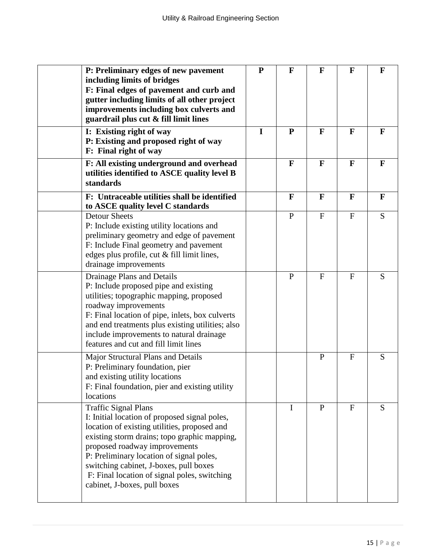| P: Preliminary edges of new pavement<br>including limits of bridges<br>F: Final edges of pavement and curb and<br>gutter including limits of all other project<br>improvements including box culverts and<br>guardrail plus cut & fill limit lines                                                                                                                                  | ${\bf P}$ | $\mathbf F$  | $\mathbf{F}$ | F            | $\mathbf{F}$ |
|-------------------------------------------------------------------------------------------------------------------------------------------------------------------------------------------------------------------------------------------------------------------------------------------------------------------------------------------------------------------------------------|-----------|--------------|--------------|--------------|--------------|
| I: Existing right of way<br>P: Existing and proposed right of way<br>F: Final right of way                                                                                                                                                                                                                                                                                          | I         | $\mathbf{P}$ | $\mathbf{F}$ | F            | F            |
| F: All existing underground and overhead<br>utilities identified to ASCE quality level B<br>standards                                                                                                                                                                                                                                                                               |           | $\mathbf{F}$ | $\mathbf{F}$ | $\mathbf{F}$ | $\mathbf{F}$ |
| F: Untraceable utilities shall be identified<br>to ASCE quality level C standards                                                                                                                                                                                                                                                                                                   |           | $\mathbf F$  | $\mathbf{F}$ | F            | $\mathbf{F}$ |
| <b>Detour Sheets</b><br>P: Include existing utility locations and<br>preliminary geometry and edge of pavement<br>F: Include Final geometry and pavement<br>edges plus profile, cut & fill limit lines,<br>drainage improvements                                                                                                                                                    |           | $\mathbf{P}$ | $\mathbf{F}$ | $\mathbf{F}$ | S            |
| Drainage Plans and Details<br>P: Include proposed pipe and existing<br>utilities; topographic mapping, proposed<br>roadway improvements<br>F: Final location of pipe, inlets, box culverts<br>and end treatments plus existing utilities; also<br>include improvements to natural drainage<br>features and cut and fill limit lines                                                 |           | $\mathbf{P}$ | $\mathbf{F}$ | $\mathbf{F}$ | S            |
| Major Structural Plans and Details<br>P: Preliminary foundation, pier<br>and existing utility locations<br>F: Final foundation, pier and existing utility<br>locations                                                                                                                                                                                                              |           |              | $\mathbf{P}$ | $\mathbf{F}$ | S            |
| <b>Traffic Signal Plans</b><br>I: Initial location of proposed signal poles,<br>location of existing utilities, proposed and<br>existing storm drains; topo graphic mapping,<br>proposed roadway improvements<br>P: Preliminary location of signal poles,<br>switching cabinet, J-boxes, pull boxes<br>F: Final location of signal poles, switching<br>cabinet, J-boxes, pull boxes |           | $\mathbf I$  | $\mathbf{P}$ | F            | S            |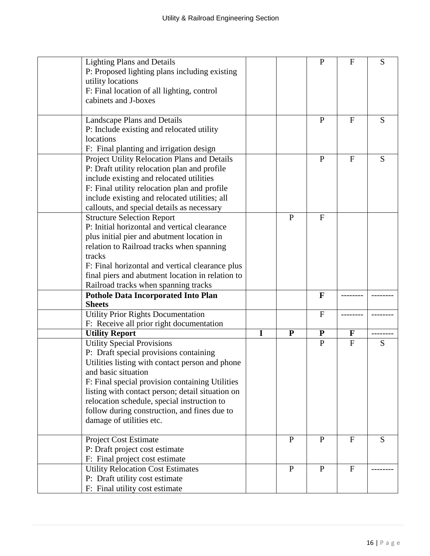| <b>Lighting Plans and Details</b>                                |   |              | $\mathbf{P}$ | $\mathbf{F}$ | S |
|------------------------------------------------------------------|---|--------------|--------------|--------------|---|
| P: Proposed lighting plans including existing                    |   |              |              |              |   |
| utility locations                                                |   |              |              |              |   |
| F: Final location of all lighting, control                       |   |              |              |              |   |
| cabinets and J-boxes                                             |   |              |              |              |   |
|                                                                  |   |              |              |              |   |
| Landscape Plans and Details                                      |   |              | ${\bf P}$    | $\mathbf{F}$ | S |
| P: Include existing and relocated utility                        |   |              |              |              |   |
| locations                                                        |   |              |              |              |   |
| F: Final planting and irrigation design                          |   |              |              |              |   |
| Project Utility Relocation Plans and Details                     |   |              | $\mathbf{P}$ | $\mathbf{F}$ | S |
| P: Draft utility relocation plan and profile                     |   |              |              |              |   |
| include existing and relocated utilities                         |   |              |              |              |   |
| F: Final utility relocation plan and profile                     |   |              |              |              |   |
| include existing and relocated utilities; all                    |   |              |              |              |   |
| callouts, and special details as necessary                       |   |              |              |              |   |
| <b>Structure Selection Report</b>                                |   | P            | $\mathbf{F}$ |              |   |
| P: Initial horizontal and vertical clearance                     |   |              |              |              |   |
| plus initial pier and abutment location in                       |   |              |              |              |   |
| relation to Railroad tracks when spanning                        |   |              |              |              |   |
| tracks                                                           |   |              |              |              |   |
| F: Final horizontal and vertical clearance plus                  |   |              |              |              |   |
| final piers and abutment location in relation to                 |   |              |              |              |   |
| Railroad tracks when spanning tracks                             |   |              |              |              |   |
| <b>Pothole Data Incorporated Into Plan</b>                       |   |              | F            |              |   |
| <b>Sheets</b>                                                    |   |              |              |              |   |
| <b>Utility Prior Rights Documentation</b>                        |   |              | F            |              |   |
| F: Receive all prior right documentation                         |   |              |              |              |   |
| <b>Utility Report</b>                                            | I | $\mathbf{P}$ | ${\bf P}$    | F            |   |
| <b>Utility Special Provisions</b>                                |   |              | $\mathbf{P}$ | $\mathbf F$  | S |
| P: Draft special provisions containing                           |   |              |              |              |   |
| Utilities listing with contact person and phone                  |   |              |              |              |   |
| and basic situation                                              |   |              |              |              |   |
|                                                                  |   |              |              |              |   |
| F: Final special provision containing Utilities                  |   |              |              |              |   |
| listing with contact person; detail situation on                 |   |              |              |              |   |
| relocation schedule, special instruction to                      |   |              |              |              |   |
| follow during construction, and fines due to                     |   |              |              |              |   |
| damage of utilities etc.                                         |   |              |              |              |   |
|                                                                  |   |              |              |              |   |
| <b>Project Cost Estimate</b>                                     |   | $\mathbf{P}$ | P            | $\mathbf F$  | S |
| P: Draft project cost estimate                                   |   |              |              |              |   |
| F: Final project cost estimate                                   |   |              |              |              |   |
| <b>Utility Relocation Cost Estimates</b>                         |   | $\mathbf{P}$ | $\mathbf{P}$ | $\mathbf{F}$ |   |
| P: Draft utility cost estimate<br>F: Final utility cost estimate |   |              |              |              |   |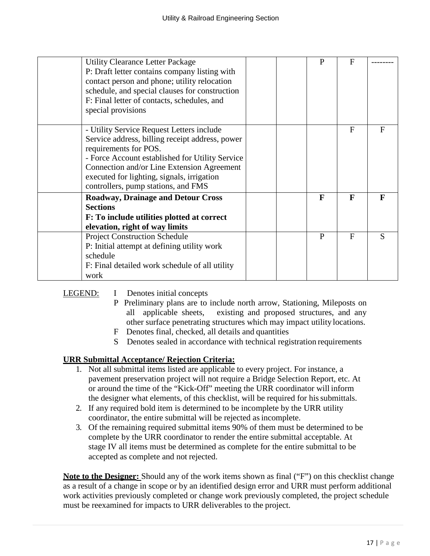| <b>Utility Clearance Letter Package</b><br>P: Draft letter contains company listing with<br>contact person and phone; utility relocation<br>schedule, and special clauses for construction<br>F: Final letter of contacts, schedules, and<br>special provisions                                             | P            | F            |           |
|-------------------------------------------------------------------------------------------------------------------------------------------------------------------------------------------------------------------------------------------------------------------------------------------------------------|--------------|--------------|-----------|
| - Utility Service Request Letters include<br>Service address, billing receipt address, power<br>requirements for POS.<br>- Force Account established for Utility Service<br>Connection and/or Line Extension Agreement<br>executed for lighting, signals, irrigation<br>controllers, pump stations, and FMS |              | $\mathbf{F}$ | $F_{\rm}$ |
| <b>Roadway, Drainage and Detour Cross</b><br><b>Sections</b><br>F: To include utilities plotted at correct<br>elevation, right of way limits                                                                                                                                                                | $\mathbf{F}$ | F            | F         |
| <b>Project Construction Schedule</b><br>P: Initial attempt at defining utility work<br>schedule<br>F: Final detailed work schedule of all utility<br>work                                                                                                                                                   | P            | F            | S         |

| LEGEND: | Denotes initial concepts |  |
|---------|--------------------------|--|
|         |                          |  |

- P Preliminary plans are to include north arrow, Stationing, Mileposts on all applicable sheets, existing and proposed structures, and any other surface penetrating structures which may impact utility locations.
- F Denotes final, checked, all details and quantities
- S Denotes sealed in accordance with technical registration requirements

## **URR Submittal Acceptance/ Rejection Criteria:**

- 1. Not all submittal items listed are applicable to every project. For instance, a pavement preservation project will not require a Bridge Selection Report, etc. At or around the time of the "Kick-Off" meeting the URR coordinator will inform the designer what elements, of this checklist, will be required for hissubmittals.
- 2. If any required bold item is determined to be incomplete by the URR utility coordinator, the entire submittal will be rejected asincomplete.
- 3. Of the remaining required submittal items 90% of them must be determined to be complete by the URR coordinator to render the entire submittal acceptable. At stage IV all items must be determined as complete for the entire submittal to be accepted as complete and not rejected.

**Note to the Designer:** Should any of the work items shown as final ("F") on this checklist change as a result of a change in scope or by an identified design error and URR must perform additional work activities previously completed or change work previously completed, the project schedule must be reexamined for impacts to URR deliverables to the project.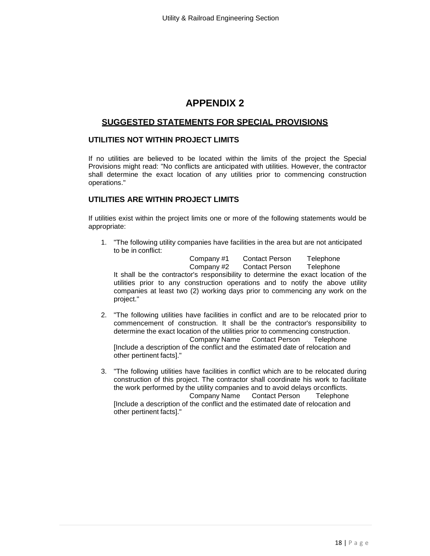## <span id="page-17-0"></span>**SUGGESTED STATEMENTS FOR SPECIAL PROVISIONS**

## <span id="page-17-1"></span>**UTILITIES NOT WITHIN PROJECT LIMITS**

If no utilities are believed to be located within the limits of the project the Special Provisions might read: "No conflicts are anticipated with utilities. However, the contractor shall determine the exact location of any utilities prior to commencing construction operations."

## **UTILITIES ARE WITHIN PROJECT LIMITS**

If utilities exist within the project limits one or more of the following statements would be appropriate:

1. "The following utility companies have facilities in the area but are not anticipated to be in conflict:

Company #1 Contact Person Telephone **Contact Person** It shall be the contractor's responsibility to determine the exact location of the utilities prior to any construction operations and to notify the above utility companies at least two (2) working days prior to commencing any work on the project."

- 2. "The following utilities have facilities in conflict and are to be relocated prior to commencement of construction. It shall be the contractor's responsibility to determine the exact location of the utilities prior to commencing construction. Company Name Contact Person Telephone [Include a description of the conflict and the estimated date of relocation and other pertinent facts]."
- 3. "The following utilities have facilities in conflict which are to be relocated during construction of this project. The contractor shall coordinate his work to facilitate the work performed by the utility companies and to avoid delays or conflicts.<br>Company Name Contact Person Telephone Contact Person Telephone [Include a description of the conflict and the estimated date of relocation and other pertinent facts]."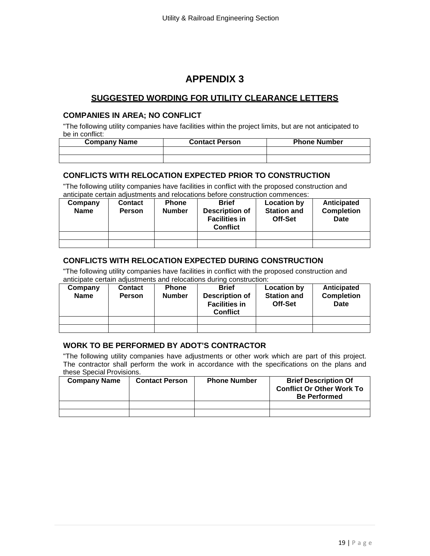## <span id="page-18-0"></span>**SUGGESTED WORDING FOR UTILITY CLEARANCE LETTERS**

## <span id="page-18-1"></span>**COMPANIES IN AREA; NO CONFLICT**

"The following utility companies have facilities within the project limits, but are not anticipated to be in conflict:

| <b>Company Name</b> | <b>Contact Person</b> | <b>Phone Number</b> |
|---------------------|-----------------------|---------------------|
|                     |                       |                     |
|                     |                       |                     |

## **CONFLICTS WITH RELOCATION EXPECTED PRIOR TO CONSTRUCTION**

"The following utility companies have facilities in conflict with the proposed construction and anticipate certain adjustments and relocations before construction commences:

| Company<br><b>Name</b> | <b>Contact</b><br><b>Person</b> | <b>Phone</b><br><b>Number</b> | <b>Brief</b><br><b>Description of</b><br><b>Facilities in</b><br><b>Conflict</b> | <b>Location by</b><br><b>Station and</b><br>Off-Set | Anticipated<br><b>Completion</b><br><b>Date</b> |
|------------------------|---------------------------------|-------------------------------|----------------------------------------------------------------------------------|-----------------------------------------------------|-------------------------------------------------|
|                        |                                 |                               |                                                                                  |                                                     |                                                 |
|                        |                                 |                               |                                                                                  |                                                     |                                                 |

## **CONFLICTS WITH RELOCATION EXPECTED DURING CONSTRUCTION**

"The following utility companies have facilities in conflict with the proposed construction and anticipate certain adjustments and relocations during construction:

| Company<br><b>Name</b> | Contact<br><b>Person</b> | <b>Phone</b><br><b>Number</b> | <b>Brief</b><br><b>Description of</b><br><b>Facilities in</b><br><b>Conflict</b> | Location by<br><b>Station and</b><br>Off-Set | Anticipated<br><b>Completion</b><br>Date |
|------------------------|--------------------------|-------------------------------|----------------------------------------------------------------------------------|----------------------------------------------|------------------------------------------|
|                        |                          |                               |                                                                                  |                                              |                                          |
|                        |                          |                               |                                                                                  |                                              |                                          |

## **WORK TO BE PERFORMED BY ADOT'S CONTRACTOR**

"The following utility companies have adjustments or other work which are part of this project. The contractor shall perform the work in accordance with the specifications on the plans and these Special Provisions.

| <b>Company Name</b> | <b>Contact Person</b> | <b>Phone Number</b> | <b>Brief Description Of</b><br><b>Conflict Or Other Work To</b><br><b>Be Performed</b> |
|---------------------|-----------------------|---------------------|----------------------------------------------------------------------------------------|
|                     |                       |                     |                                                                                        |
|                     |                       |                     |                                                                                        |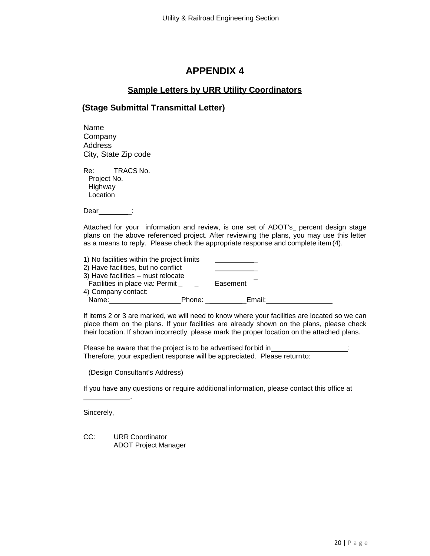## **Sample Letters by URR Utility Coordinators**

## <span id="page-19-1"></span><span id="page-19-0"></span>**(Stage Submittal Transmittal Letter)**

Name Company Address City, State Zip code

Re: TRACS No. Project No. Highway Location

Dear :

Attached for your information and review, is one set of ADOT's percent design stage plans on the above referenced project. After reviewing the plans, you may use this letter as a means to reply. Please check the appropriate response and complete item(4).

| 1) No facilities within the project limits |        |          |  |
|--------------------------------------------|--------|----------|--|
| 2) Have facilities, but no conflict        |        |          |  |
| 3) Have facilities - must relocate         |        |          |  |
| Facilities in place via: Permit            |        | Easement |  |
| 4) Company contact:                        |        |          |  |
| Name:                                      | Phone: | Email:   |  |

If items 2 or 3 are marked, we will need to know where your facilities are located so we can place them on the plans. If your facilities are already shown on the plans, please check their location. If shown incorrectly, please mark the proper location on the attached plans.

Please be aware that the project is to be advertised for bid in Therefore, your expedient response will be appreciated. Please returnto:

(Design Consultant's Address)

.

If you have any questions or require additional information, please contact this office at

Sincerely,

CC: URR Coordinator ADOT Project Manager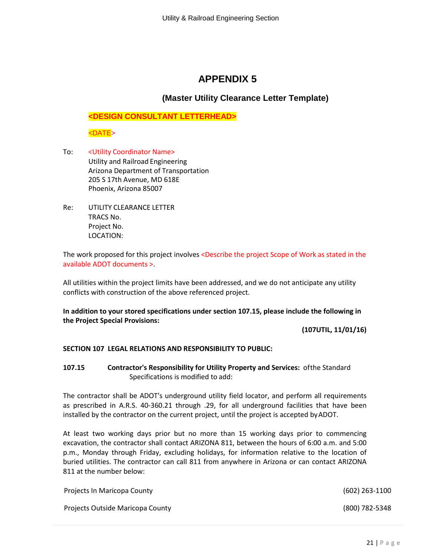## **(Master Utility Clearance Letter Template)**

**<DESIGN CONSULTANT LETTERHEAD>**

<DATE>

- To: <Utility Coordinator Name> Utility and Railroad Engineering Arizona Department of Transportation 205 S 17th Avenue, MD 618E Phoenix, Arizona 85007
- Re: UTILITY CLEARANCE LETTER TRACS No. Project No. LOCATION:

The work proposed for this project involves <Describe the project Scope of Work as stated in the available ADOT documents >.

All utilities within the project limits have been addressed, and we do not anticipate any utility conflicts with construction of the above referenced project.

**In addition to your stored specifications under section 107.15, please include the following in the Project Special Provisions:**

**(107UTIL, 11/01/16)**

## **SECTION 107 LEGAL RELATIONS AND RESPONSIBILITY TO PUBLIC:**

**107.15 Contractor's Responsibility for Utility Property and Services:** ofthe Standard Specifications is modified to add:

The contractor shall be ADOT's underground utility field locator, and perform all requirements as prescribed in A.R.S. 40-360.21 through .29, for all underground facilities that have been installed by the contractor on the current project, until the project is accepted byADOT.

At least two working days prior but no more than 15 working days prior to commencing excavation, the contractor shall contact ARIZONA 811, between the hours of 6:00 a.m. and 5:00 p.m., Monday through Friday, excluding holidays, for information relative to the location of buried utilities. The contractor can call 811 from anywhere in Arizona or can contact ARIZONA 811 at the number below:

| Projects In Maricopa County      | (602) 263-1100 |
|----------------------------------|----------------|
| Projects Outside Maricopa County | (800) 782-5348 |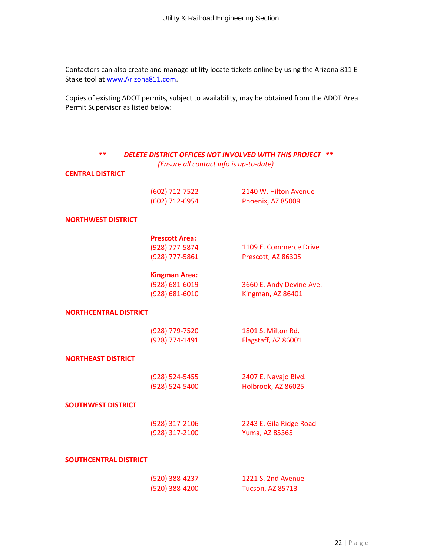Contactors can also create and manage utility locate tickets online by using the Arizona 811 E-Stake tool a[t www.Arizona811.com.](http://www.arizona811.com/)

Copies of existing ADOT permits, subject to availability, may be obtained from the ADOT Area Permit Supervisor as listed below:

| **<br><b>DELETE DISTRICT OFFICES NOT INVOLVED WITH THIS PROJECT</b> |                                         |                          |
|---------------------------------------------------------------------|-----------------------------------------|--------------------------|
|                                                                     | (Ensure all contact info is up-to-date) |                          |
| <b>CENTRAL DISTRICT</b>                                             |                                         |                          |
|                                                                     | (602) 712-7522                          | 2140 W. Hilton Avenue    |
|                                                                     | (602) 712-6954                          | Phoenix, AZ 85009        |
| <b>NORTHWEST DISTRICT</b>                                           |                                         |                          |
|                                                                     | <b>Prescott Area:</b>                   |                          |
|                                                                     | (928) 777-5874                          | 1109 E. Commerce Drive   |
|                                                                     | (928) 777-5861                          | Prescott, AZ 86305       |
|                                                                     | <b>Kingman Area:</b>                    |                          |
|                                                                     | (928) 681-6019                          | 3660 E. Andy Devine Ave. |
|                                                                     | (928) 681-6010                          | Kingman, AZ 86401        |
| <b>NORTHCENTRAL DISTRICT</b>                                        |                                         |                          |
|                                                                     | (928) 779-7520                          | 1801 S. Milton Rd.       |
|                                                                     | (928) 774-1491                          | Flagstaff, AZ 86001      |
| <b>NORTHEAST DISTRICT</b>                                           |                                         |                          |
|                                                                     | (928) 524-5455                          | 2407 E. Navajo Blvd.     |
|                                                                     | (928) 524-5400                          | Holbrook, AZ 86025       |
| <b>SOUTHWEST DISTRICT</b>                                           |                                         |                          |
|                                                                     | (928) 317-2106                          | 2243 E. Gila Ridge Road  |
|                                                                     | (928) 317-2100                          | <b>Yuma, AZ 85365</b>    |
| <b>SOUTHCENTRAL DISTRICT</b>                                        |                                         |                          |
|                                                                     | (520) 388-4237                          | 1221 S. 2nd Avenue       |
|                                                                     | (520) 388-4200                          | Tucson, AZ 85713         |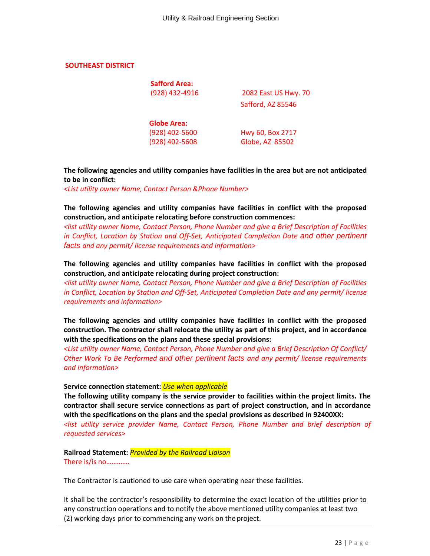#### **SOUTHEAST DISTRICT**

| <b>Safford Area:</b> |                      |
|----------------------|----------------------|
| (928) 432-4916       | 2082 East US Hwy. 70 |
|                      | Safford, AZ 85546    |
| <b>Globe Area:</b>   |                      |
| (928) 402-5600       | Hwy 60, Box 2717     |
| (928) 402-5608       | Globe, AZ 85502      |

**The following agencies and utility companies have facilities in the area but are not anticipated to be in conflict:**

*<List utility owner Name, Contact Person &Phone Number>*

**The following agencies and utility companies have facilities in conflict with the proposed construction, and anticipate relocating before construction commences:**

*<list utility owner Name, Contact Person, Phone Number and give a Brief Description of Facilities in Conflict, Location by Station and Off-Set, Anticipated Completion Date and other pertinent facts and any permit/ license requirements and information>* 

**The following agencies and utility companies have facilities in conflict with the proposed construction, and anticipate relocating during project construction:**

*<list utility owner Name, Contact Person, Phone Number and give a Brief Description of Facilities in Conflict, Location by Station and Off-Set, Anticipated Completion Date and any permit/ license requirements and information>*

**The following agencies and utility companies have facilities in conflict with the proposed construction. The contractor shall relocate the utility as part of this project, and in accordance with the specifications on the plans and these special provisions:**

*<List utility owner Name, Contact Person, Phone Number and give a Brief Description Of Conflict/ Other Work To Be Performed and other pertinent facts and any permit/ license requirements and information>* 

**Service connection statement:** *Use when applicable*

**The following utility company is the service provider to facilities within the project limits. The contractor shall secure service connections as part of project construction, and in accordance with the specifications on the plans and the special provisions as described in 92400XX:** *<list utility service provider Name, Contact Person, Phone Number and brief description of requested services>*

**Railroad Statement:** *Provided by the Railroad Liaison* There is/is no………….

The Contractor is cautioned to use care when operating near these facilities.

It shall be the contractor's responsibility to determine the exact location of the utilities prior to any construction operations and to notify the above mentioned utility companies at least two (2) working days prior to commencing any work on the project.